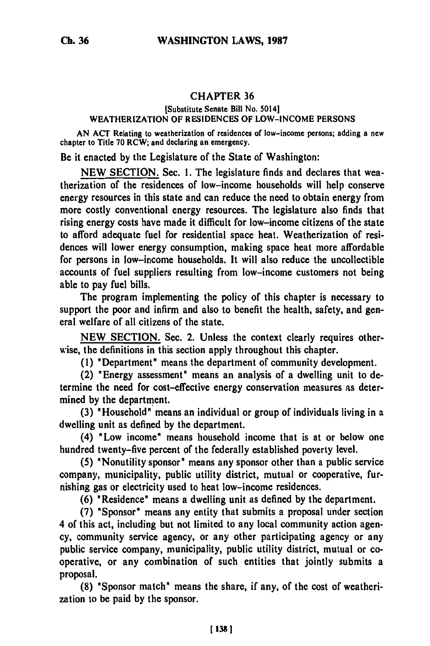## **CHAPTER 36**

## [Substitute Senate Bill No. 50141 WEATHERIZATION OF **RESIDENCES** OF **LOW-INCOME PERSONS**

**AN ACT** Relating **to** weatherization of residences of low-income persons; adding a new chapter to Title **70** RCW; and declaring an emergency.

Be it enacted **by** the Legislature of the State of Washington:

**NEW** SECTION. Sec. **1.** The legislature finds and declares that weatherization of the residences of low-income households will help conserve energy resources in this state and can reduce the need to obtain energy from more costly conventional energy resources. The legislature also finds that rising energy costs have made it difficult for low-income citizens of the state to afford adequate fuel for residential space heat. Weatherization of residences will lower energy consumption, making space heat more affordable for persons in low-income households. It will also reduce the uncollectible accounts of fuel suppliers resulting from low-income customers not being able to pay fuel bills.

The program implementing the policy of this chapter is necessary to support the poor and infirm and also to benefit the health, safety, and general welfare of all citizens of the state.

**NEW** SECTION. Sec. 2. Unless the context clearly requires otherwise, the definitions in this section apply throughout this chapter.

**(1)** "Department" means the department of community development.

(2) "Energy assessment" means an analysis of a dwelling unit to determine the need for cost-effective energy conservation measures as determined **by** the department.

**(3)** 'Household" means an individual or group of individuals living in a dwelling unit as defined **by** the department.

(4) 'Low income' means household income that is at or below one hundred twenty-five percent **of** the federally established poverty level.

**(5)** "Nonutility sponsor" means any sponsor other than a public service company, municipality, public utility district, mutual or cooperative, furnishing gas or electricity used to heat low-income residences.

**(6)** "Residence" means a dwelling unit as defined **by** the department.

**(7)** 'Sponsor" means any entity that submits a proposal under section 4 of this act, including but not limited to any local community action agency, community service agency, or any other participating agency or any public service company, municipality, public utility district, mutual or cooperative, or any combination of such entities that jointly submits a proposal.

**(8)** "Sponsor match' means the share, if any, of the cost of weatherization to be paid **by** the sponsor.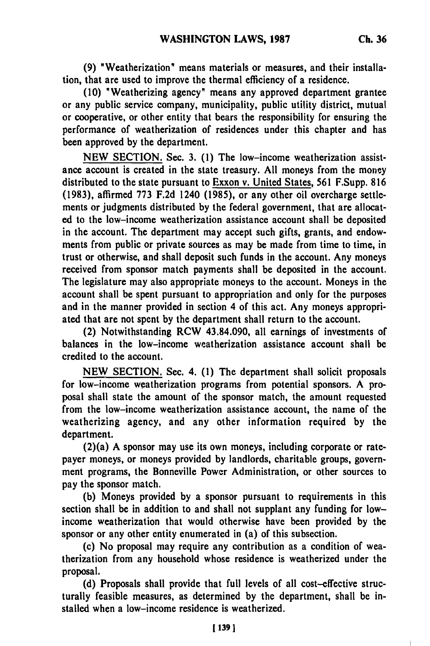**(9)** "Weatherization" means materials or measures, and their installation, that are used to improve the thermal efficiency of a residence.

**(10)** "Weatherizing agency" means any approved department grantee or any public service company, municipality, public utility district, mutual or cooperative, or other entity that bears the responsibility for ensuring the performance of weatherization of residences under this chapter and has been approved **by** the department.

**NEW SECTION.** Sec. **3. (1)** The low-income weatherization assistance account is created in the state treasury. **All** moneys from the money distributed to the state pursuant to Exxon v. United States, **561** F.Supp. **816 (1983),** affirmed **773 F.2d** 1240 **(1985),** or any other oil overcharge settlements or judgments distributed **by** the federal government, that are allocated to the low-income weatherization assistance account shall be deposited in the account. The department may accept such gifts, grants, and endowments from public or private sources as may be made from time to time, in trust or otherwise, and shall deposit such funds in the account. Any moneys received from sponsor match payments shall be deposited in the account. The legislature may also appropriate moneys to the account. Moneys in the account shall be spent pursuant to appropriation and only for the purposes and in the manner provided in section 4 of this act. Any moneys appropriated that are not spent **by** the department shall return to the account.

(2) Notwithstanding RCW 43.84.090, all earnings of investments of balances in the low-income weatherization assistance account shall be credited to the account.

**NEW** SECTION. Sec. 4. **(1)** The department shall solicit proposals for low-income weatherization programs from potential sponsors. A proposal shall state the amount of the sponsor match, the amount requested from the low-income weatherization assistance account, the name of the weatherizing agency, and any other information required **by** the department.

(2)(a) **A** sponsor may use its own moneys, including corporate or ratepayer moneys, or moneys provided **by** landlords, charitable groups, government programs, the Bonneville Power Administration, or other sources to pay the sponsor match.

**(b)** Moneys provided **by** a sponsor pursuant to requirements in this section shall be in addition to and shall not supplant any funding for lowincome weatherization that would otherwise have been provided **by** the sponsor or any other entity enumerated in (a) of this subsection.

(c) No proposal may require any contribution as a condition of weatherization from any household whose residence is weatherized under the proposal.

**(d)** Proposals shall provide that full levels of all cost-effective structurally feasible measures, as determined **by** the department, shall be installed when a low-income residence is weatherized.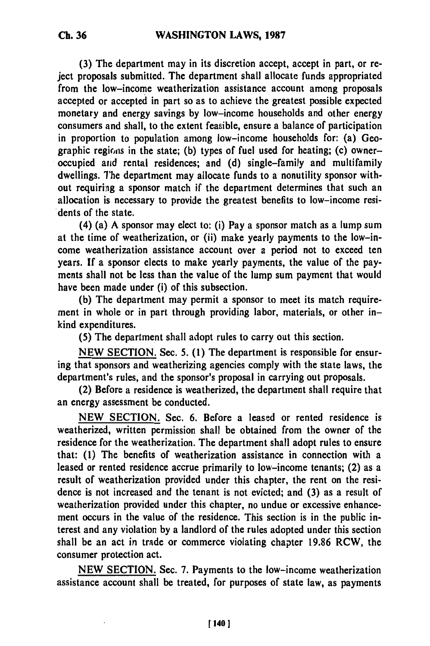**(3)** The department may in its discretion accept, accept in part, or reject proposals submitted. The department shall allocate funds appropriated from the low-income weatherization assistance account among proposals accepted or accepted in part so as to achieve the greatest possible expected monetary and energy savings **by** low-income households and other energy consumers and shall, to the extent feasible, ensure a balance of participation in proportion to population among low-income households for: (a) Geographic regions in the state; (b) types of fuel used for heating; (c) owneroccupied anid rental residences; and **(d)** single-family and multifamily dwellings. The department may allocate funds to a nonutility sponsor without requiring a sponsor match if the department determines that such an allocation is necessary to provide the greatest benefits to low-income residents of the state.

(4) (a) **A** sponsor may elect to: (i) Pay a sponsor match as a lump sum at the time of weatherization, or (ii) make yearly payments to the low-income weatherization assistance account over a period not to exceed ten years. **If** a sponsor elects to make yearly payments, the value of the payments shall not be less than the value of the lump sum payment that would have been made under (i) of this subsection.

**(b)** The department may permit a sponsor to meet its match requirement in whole or in part through providing labor, materials, or other inkind expenditures.

**(5)** The department shall adopt rules to carry out this section.

**NEW SECTION.** Sec. **5. (1)** The department is responsible for ensuring that sponsors and weatherizing agencies comply with the state laws, the department's rules, and the sponsor's proposal in carrying out proposals.

(2) Before a residence is weatherized, the department shall require that an energy assessment be conducted.

**NEW** SECTION. Sec. **6.** Before a leased or rented residence is weatherized, written permission shall be obtained from the owner of the residence for the weatherization. The department shall adopt rules to ensure that: **(1)** The benefits of weatherization assistance in connection with a leased or rented residence accrue primarily to low-income tenants; (2) as a result of weatherization provided under this chapter, the rent on the residence is not increased and the tenant is not evicted; and **(3)** as a result of weatherization provided under this chapter, no undue or excessive enhancement occurs in the value **of** the residence. This section is in the public interest and any violation **by** a landlord of the rules adopted under this section shall be an act in trade or commerce violating chapter **19.86** RCW, the consumer protection act.

**NEW SECTION.** Sec. **7.** Payments to the low-income weatherization assistance account shall be treated, for purposes of state law, as payments